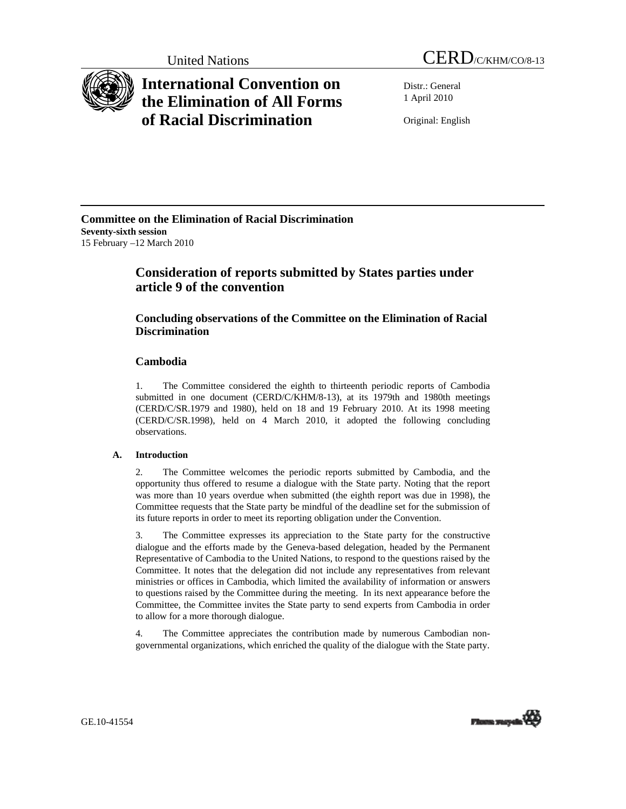

# **International Convention on the Elimination of All Forms of Racial Discrimination**

Distr.: General 1 April 2010

Original: English

### **Committee on the Elimination of Racial Discrimination Seventy-sixth session**  15 February –12 March 2010

# **Consideration of reports submitted by States parties under article 9 of the convention**

# **Concluding observations of the Committee on the Elimination of Racial Discrimination**

## **Cambodia**

1. The Committee considered the eighth to thirteenth periodic reports of Cambodia submitted in one document (CERD/C/KHM/8-13), at its 1979th and 1980th meetings (CERD/C/SR.1979 and 1980), held on 18 and 19 February 2010. At its 1998 meeting (CERD/C/SR.1998), held on 4 March 2010, it adopted the following concluding observations.

### **A. Introduction**

2. The Committee welcomes the periodic reports submitted by Cambodia, and the opportunity thus offered to resume a dialogue with the State party. Noting that the report was more than 10 years overdue when submitted (the eighth report was due in 1998), the Committee requests that the State party be mindful of the deadline set for the submission of its future reports in order to meet its reporting obligation under the Convention.

3. The Committee expresses its appreciation to the State party for the constructive dialogue and the efforts made by the Geneva-based delegation, headed by the Permanent Representative of Cambodia to the United Nations, to respond to the questions raised by the Committee. It notes that the delegation did not include any representatives from relevant ministries or offices in Cambodia, which limited the availability of information or answers to questions raised by the Committee during the meeting. In its next appearance before the Committee, the Committee invites the State party to send experts from Cambodia in order to allow for a more thorough dialogue.

4. The Committee appreciates the contribution made by numerous Cambodian nongovernmental organizations, which enriched the quality of the dialogue with the State party.

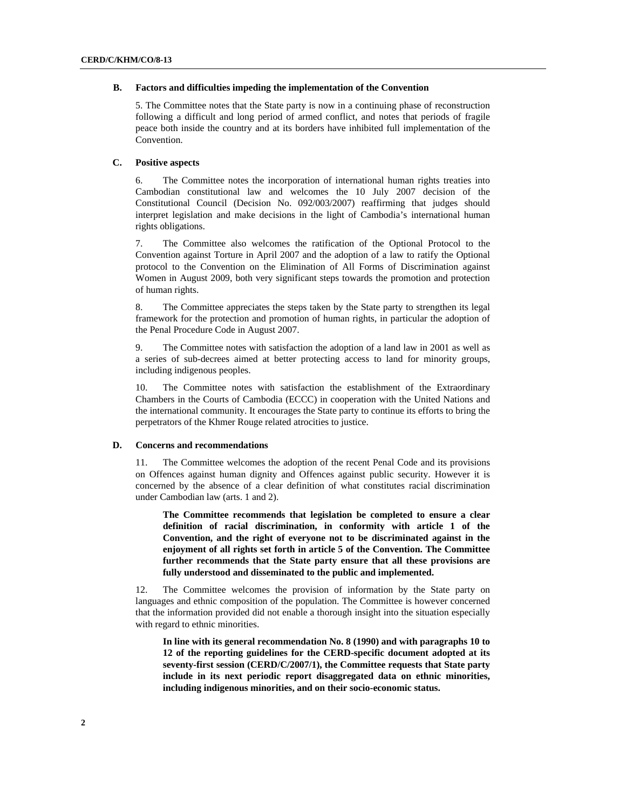#### **B. Factors and difficulties impeding the implementation of the Convention**

5. The Committee notes that the State party is now in a continuing phase of reconstruction following a difficult and long period of armed conflict, and notes that periods of fragile peace both inside the country and at its borders have inhibited full implementation of the Convention.

#### **C. Positive aspects**

6. The Committee notes the incorporation of international human rights treaties into Cambodian constitutional law and welcomes the 10 July 2007 decision of the Constitutional Council (Decision No. 092/003/2007) reaffirming that judges should interpret legislation and make decisions in the light of Cambodia's international human rights obligations.

7. The Committee also welcomes the ratification of the Optional Protocol to the Convention against Torture in April 2007 and the adoption of a law to ratify the Optional protocol to the Convention on the Elimination of All Forms of Discrimination against Women in August 2009, both very significant steps towards the promotion and protection of human rights.

8. The Committee appreciates the steps taken by the State party to strengthen its legal framework for the protection and promotion of human rights, in particular the adoption of the Penal Procedure Code in August 2007.

9. The Committee notes with satisfaction the adoption of a land law in 2001 as well as a series of sub-decrees aimed at better protecting access to land for minority groups, including indigenous peoples.

10. The Committee notes with satisfaction the establishment of the Extraordinary Chambers in the Courts of Cambodia (ECCC) in cooperation with the United Nations and the international community. It encourages the State party to continue its efforts to bring the perpetrators of the Khmer Rouge related atrocities to justice.

#### **D. Concerns and recommendations**

11. The Committee welcomes the adoption of the recent Penal Code and its provisions on Offences against human dignity and Offences against public security. However it is concerned by the absence of a clear definition of what constitutes racial discrimination under Cambodian law (arts. 1 and 2).

 **The Committee recommends that legislation be completed to ensure a clear definition of racial discrimination, in conformity with article 1 of the Convention, and the right of everyone not to be discriminated against in the enjoyment of all rights set forth in article 5 of the Convention. The Committee further recommends that the State party ensure that all these provisions are fully understood and disseminated to the public and implemented.** 

12. The Committee welcomes the provision of information by the State party on languages and ethnic composition of the population. The Committee is however concerned that the information provided did not enable a thorough insight into the situation especially with regard to ethnic minorities.

 **In line with its general recommendation No. 8 (1990) and with paragraphs 10 to 12 of the reporting guidelines for the CERD-specific document adopted at its seventy-first session (CERD/C/2007/1), the Committee requests that State party include in its next periodic report disaggregated data on ethnic minorities, including indigenous minorities, and on their socio-economic status.**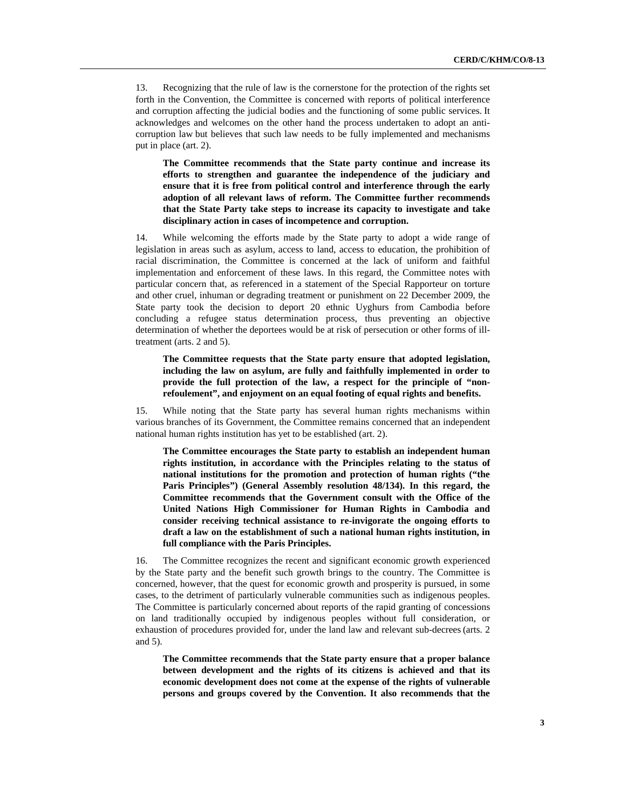13. Recognizing that the rule of law is the cornerstone for the protection of the rights set forth in the Convention, the Committee is concerned with reports of political interference and corruption affecting the judicial bodies and the functioning of some public services. It acknowledges and welcomes on the other hand the process undertaken to adopt an anticorruption law but believes that such law needs to be fully implemented and mechanisms put in place (art. 2).

 **The Committee recommends that the State party continue and increase its efforts to strengthen and guarantee the independence of the judiciary and ensure that it is free from political control and interference through the early adoption of all relevant laws of reform. The Committee further recommends that the State Party take steps to increase its capacity to investigate and take disciplinary action in cases of incompetence and corruption.** 

14. While welcoming the efforts made by the State party to adopt a wide range of legislation in areas such as asylum, access to land, access to education, the prohibition of racial discrimination, the Committee is concerned at the lack of uniform and faithful implementation and enforcement of these laws. In this regard, the Committee notes with particular concern that, as referenced in a statement of the Special Rapporteur on torture and other cruel, inhuman or degrading treatment or punishment on 22 December 2009, the State party took the decision to deport 20 ethnic Uyghurs from Cambodia before concluding a refugee status determination process, thus preventing an objective determination of whether the deportees would be at risk of persecution or other forms of illtreatment (arts. 2 and 5).

 **The Committee requests that the State party ensure that adopted legislation, including the law on asylum, are fully and faithfully implemented in order to provide the full protection of the law, a respect for the principle of "nonrefoulement", and enjoyment on an equal footing of equal rights and benefits.** 

15. While noting that the State party has several human rights mechanisms within various branches of its Government, the Committee remains concerned that an independent national human rights institution has yet to be established (art. 2).

 **The Committee encourages the State party to establish an independent human rights institution, in accordance with the Principles relating to the status of national institutions for the promotion and protection of human rights ("the Paris Principles") (General Assembly resolution 48/134). In this regard, the Committee recommends that the Government consult with the Office of the United Nations High Commissioner for Human Rights in Cambodia and consider receiving technical assistance to re-invigorate the ongoing efforts to draft a law on the establishment of such a national human rights institution, in full compliance with the Paris Principles.** 

16. The Committee recognizes the recent and significant economic growth experienced by the State party and the benefit such growth brings to the country. The Committee is concerned, however, that the quest for economic growth and prosperity is pursued, in some cases, to the detriment of particularly vulnerable communities such as indigenous peoples. The Committee is particularly concerned about reports of the rapid granting of concessions on land traditionally occupied by indigenous peoples without full consideration, or exhaustion of procedures provided for, under the land law and relevant sub-decrees (arts. 2 and 5).

 **The Committee recommends that the State party ensure that a proper balance between development and the rights of its citizens is achieved and that its economic development does not come at the expense of the rights of vulnerable persons and groups covered by the Convention. It also recommends that the**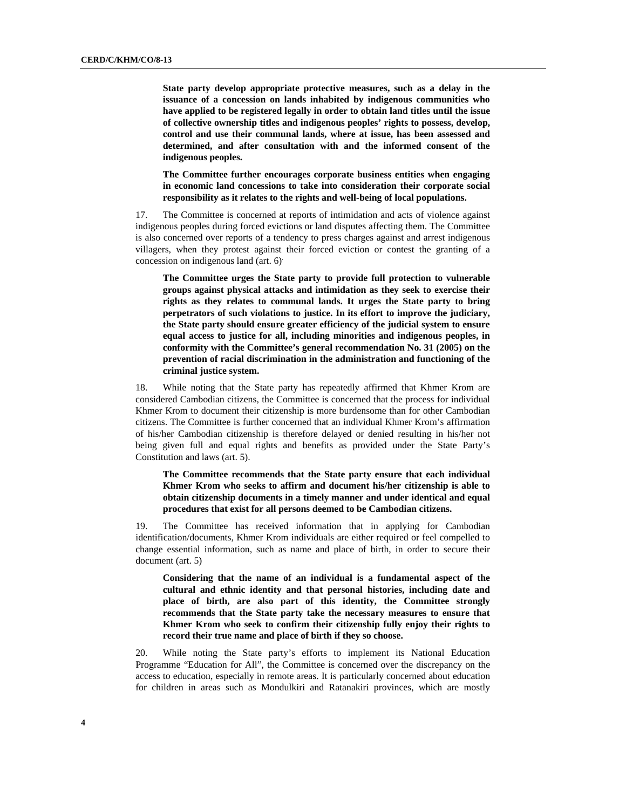**State party develop appropriate protective measures, such as a delay in the issuance of a concession on lands inhabited by indigenous communities who have applied to be registered legally in order to obtain land titles until the issue of collective ownership titles and indigenous peoples' rights to possess, develop, control and use their communal lands, where at issue, has been assessed and determined, and after consultation with and the informed consent of the indigenous peoples.** 

 **The Committee further encourages corporate business entities when engaging in economic land concessions to take into consideration their corporate social responsibility as it relates to the rights and well-being of local populations.** 

17. The Committee is concerned at reports of intimidation and acts of violence against indigenous peoples during forced evictions or land disputes affecting them. The Committee is also concerned over reports of a tendency to press charges against and arrest indigenous villagers, when they protest against their forced eviction or contest the granting of a concession on indigenous land (art. 6).

 **The Committee urges the State party to provide full protection to vulnerable groups against physical attacks and intimidation as they seek to exercise their rights as they relates to communal lands. It urges the State party to bring perpetrators of such violations to justice. In its effort to improve the judiciary, the State party should ensure greater efficiency of the judicial system to ensure equal access to justice for all, including minorities and indigenous peoples, in conformity with the Committee's general recommendation No. 31 (2005) on the prevention of racial discrimination in the administration and functioning of the criminal justice system.** 

18. While noting that the State party has repeatedly affirmed that Khmer Krom are considered Cambodian citizens, the Committee is concerned that the process for individual Khmer Krom to document their citizenship is more burdensome than for other Cambodian citizens. The Committee is further concerned that an individual Khmer Krom's affirmation of his/her Cambodian citizenship is therefore delayed or denied resulting in his/her not being given full and equal rights and benefits as provided under the State Party's Constitution and laws (art. 5).

 **The Committee recommends that the State party ensure that each individual Khmer Krom who seeks to affirm and document his/her citizenship is able to obtain citizenship documents in a timely manner and under identical and equal procedures that exist for all persons deemed to be Cambodian citizens.** 

19. The Committee has received information that in applying for Cambodian identification/documents, Khmer Krom individuals are either required or feel compelled to change essential information, such as name and place of birth, in order to secure their document (art. 5)

 **Considering that the name of an individual is a fundamental aspect of the cultural and ethnic identity and that personal histories, including date and place of birth, are also part of this identity, the Committee strongly recommends that the State party take the necessary measures to ensure that Khmer Krom who seek to confirm their citizenship fully enjoy their rights to record their true name and place of birth if they so choose.** 

20. While noting the State party's efforts to implement its National Education Programme "Education for All", the Committee is concerned over the discrepancy on the access to education, especially in remote areas. It is particularly concerned about education for children in areas such as Mondulkiri and Ratanakiri provinces, which are mostly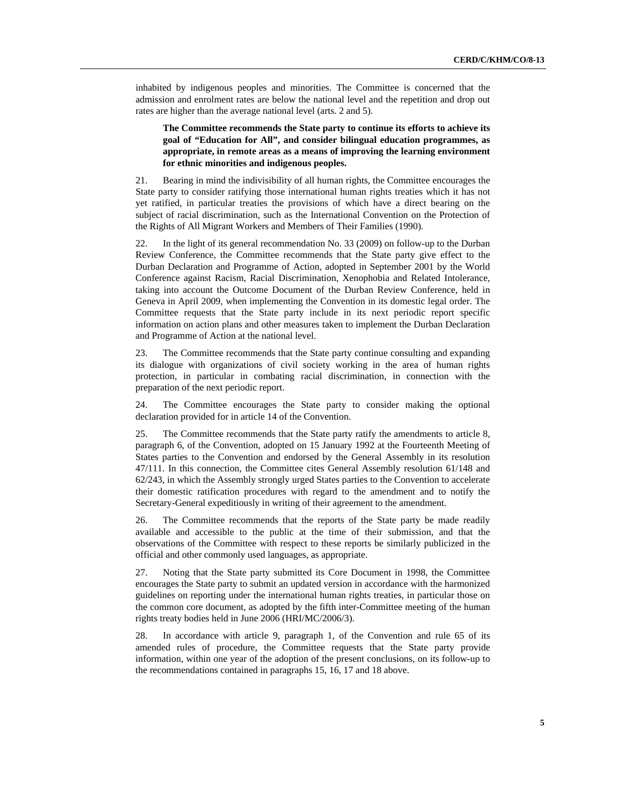inhabited by indigenous peoples and minorities. The Committee is concerned that the admission and enrolment rates are below the national level and the repetition and drop out rates are higher than the average national level (arts. 2 and 5).

### **The Committee recommends the State party to continue its efforts to achieve its goal of "Education for All", and consider bilingual education programmes, as appropriate, in remote areas as a means of improving the learning environment for ethnic minorities and indigenous peoples.**

21. Bearing in mind the indivisibility of all human rights, the Committee encourages the State party to consider ratifying those international human rights treaties which it has not yet ratified, in particular treaties the provisions of which have a direct bearing on the subject of racial discrimination, such as the International Convention on the Protection of the Rights of All Migrant Workers and Members of Their Families (1990).

22. In the light of its general recommendation No. 33 (2009) on follow-up to the Durban Review Conference, the Committee recommends that the State party give effect to the Durban Declaration and Programme of Action, adopted in September 2001 by the World Conference against Racism, Racial Discrimination, Xenophobia and Related Intolerance, taking into account the Outcome Document of the Durban Review Conference, held in Geneva in April 2009, when implementing the Convention in its domestic legal order. The Committee requests that the State party include in its next periodic report specific information on action plans and other measures taken to implement the Durban Declaration and Programme of Action at the national level.

23. The Committee recommends that the State party continue consulting and expanding its dialogue with organizations of civil society working in the area of human rights protection, in particular in combating racial discrimination, in connection with the preparation of the next periodic report.

24. The Committee encourages the State party to consider making the optional declaration provided for in article 14 of the Convention.

25. The Committee recommends that the State party ratify the amendments to article 8, paragraph 6, of the Convention, adopted on 15 January 1992 at the Fourteenth Meeting of States parties to the Convention and endorsed by the General Assembly in its resolution 47/111. In this connection, the Committee cites General Assembly resolution 61/148 and 62/243, in which the Assembly strongly urged States parties to the Convention to accelerate their domestic ratification procedures with regard to the amendment and to notify the Secretary-General expeditiously in writing of their agreement to the amendment.

26. The Committee recommends that the reports of the State party be made readily available and accessible to the public at the time of their submission, and that the observations of the Committee with respect to these reports be similarly publicized in the official and other commonly used languages, as appropriate.

27. Noting that the State party submitted its Core Document in 1998, the Committee encourages the State party to submit an updated version in accordance with the harmonized guidelines on reporting under the international human rights treaties, in particular those on the common core document, as adopted by the fifth inter-Committee meeting of the human rights treaty bodies held in June 2006 (HRI/MC/2006/3).

28. In accordance with article 9, paragraph 1, of the Convention and rule 65 of its amended rules of procedure, the Committee requests that the State party provide information, within one year of the adoption of the present conclusions, on its follow-up to the recommendations contained in paragraphs 15, 16, 17 and 18 above.